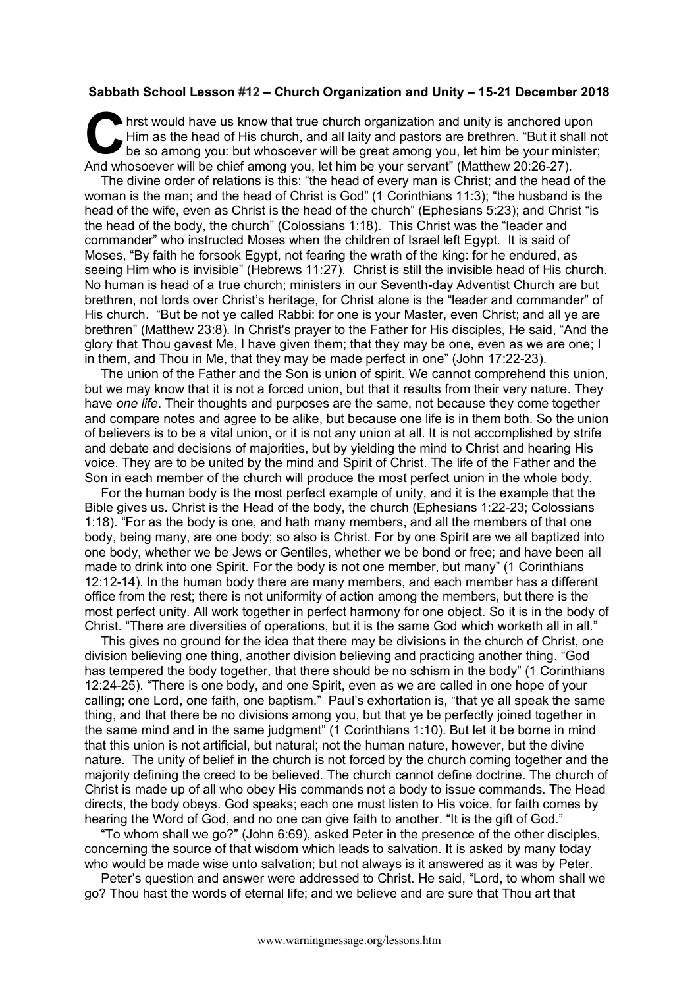## **Sabbath School Lesson #12 – Church Organization and Unity – 15-21 December 2018**

hrst would have us know that true church organization and unity is anchored upon Him as the head of His church, and all laity and pastors are brethren. "But it shall not be so among you: but whosoever will be great among you, let him be your minister; And whosoever will be chief among you, let him be your servant" (Matthew 20:26-27). C Hire<br>And when

The divine order of relations is this: "the head of every man is Christ; and the head of the woman is the man; and the head of Christ is God" (1 Corinthians 11:3); "the husband is the head of the wife, even as Christ is the head of the church" (Ephesians 5:23); and Christ "is the head of the body, the church" (Colossians 1:18). This Christ was the "leader and commander" who instructed Moses when the children of Israel left Egypt. It is said of Moses, "By faith he forsook Egypt, not fearing the wrath of the king: for he endured, as seeing Him who is invisible" (Hebrews 11:27). Christ is still the invisible head of His church. No human is head of a true church; ministers in our Seventh-day Adventist Church are but brethren, not lords over Christ's heritage, for Christ alone is the "leader and commander" of His church. "But be not ye called Rabbi: for one is your Master, even Christ; and all ye are brethren" (Matthew 23:8). In Christ's prayer to the Father for His disciples, He said, "And the glory that Thou gavest Me, I have given them; that they may be one, even as we are one; I in them, and Thou in Me, that they may be made perfect in one" (John 17:22-23).

The union of the Father and the Son is union of spirit. We cannot comprehend this union, but we may know that it is not a forced union, but that it results from their very nature. They have *one life*. Their thoughts and purposes are the same, not because they come together and compare notes and agree to be alike, but because one life is in them both. So the union of believers is to be a vital union, or it is not any union at all. It is not accomplished by strife and debate and decisions of majorities, but by yielding the mind to Christ and hearing His voice. They are to be united by the mind and Spirit of Christ. The life of the Father and the Son in each member of the church will produce the most perfect union in the whole body.

For the human body is the most perfect example of unity, and it is the example that the Bible gives us. Christ is the Head of the body, the church (Ephesians 1:22-23; Colossians 1:18). "For as the body is one, and hath many members, and all the members of that one body, being many, are one body; so also is Christ. For by one Spirit are we all baptized into one body, whether we be Jews or Gentiles, whether we be bond or free; and have been all made to drink into one Spirit. For the body is not one member, but many" (1 Corinthians 12:12-14). In the human body there are many members, and each member has a different office from the rest; there is not uniformity of action among the members, but there is the most perfect unity. All work together in perfect harmony for one object. So it is in the body of Christ. "There are diversities of operations, but it is the same God which worketh all in all."

This gives no ground for the idea that there may be divisions in the church of Christ, one division believing one thing, another division believing and practicing another thing. "God has tempered the body together, that there should be no schism in the body" (1 Corinthians 12:24-25). "There is one body, and one Spirit, even as we are called in one hope of your calling; one Lord, one faith, one baptism." Paul's exhortation is, "that ye all speak the same thing, and that there be no divisions among you, but that ye be perfectly joined together in the same mind and in the same judgment" (1 Corinthians 1:10). But let it be borne in mind that this union is not artificial, but natural; not the human nature, however, but the divine nature. The unity of belief in the church is not forced by the church coming together and the majority defining the creed to be believed. The church cannot define doctrine. The church of Christ is made up of all who obey His commands not a body to issue commands. The Head directs, the body obeys. God speaks; each one must listen to His voice, for faith comes by hearing the Word of God, and no one can give faith to another. "It is the gift of God."

"To whom shall we go?" (John 6:69), asked Peter in the presence of the other disciples, concerning the source of that wisdom which leads to salvation. It is asked by many today who would be made wise unto salvation; but not always is it answered as it was by Peter.

Peter's question and answer were addressed to Christ. He said, "Lord, to whom shall we go? Thou hast the words of eternal life; and we believe and are sure that Thou art that